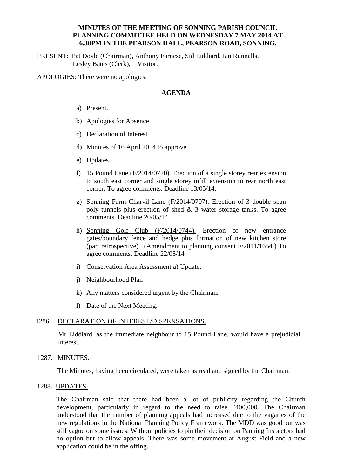# **MINUTES OF THE MEETING OF SONNING PARISH COUNCIL PLANNING COMMITTEE HELD ON WEDNESDAY 7 MAY 2014 AT 6.30PM IN THE PEARSON HALL, PEARSON ROAD, SONNING.**

PRESENT: Pat Doyle (Chairman), Anthony Farnese, Sid Liddiard, Ian Runnalls. Lesley Bates (Clerk), 1 Visitor.

APOLOGIES: There were no apologies.

## **AGENDA**

- a) Present.
- b) Apologies for Absence
- c) Declaration of Interest
- d) Minutes of 16 April 2014 to approve.
- e) Updates.
- f) 15 Pound Lane (F/2014/0720). Erection of a single storey rear extension to south east corner and single storey infill extension to rear north east corner. To agree comments. Deadline 13/05/14.
- g) Sonning Farm Charvil Lane (F/2014/0707). Erection of 3 double span poly tunnels plus erection of shed  $\&$  3 water storage tanks. To agree comments. Deadline 20/05/14.
- h) Sonning Golf Club (F/2014/0744). Erection of new entrance gates/boundary fence and hedge plus formation of new kitchen store (part retrospective). (Amendment to planning consent F/2011/1654.) To agree comments. Deadline 22/05/14
- i) Conservation Area Assessment a) Update.
- j) Neighbourhood Plan
- k) Any matters considered urgent by the Chairman.
- l) Date of the Next Meeting.

#### 1286. DECLARATION OF INTEREST/DISPENSATIONS.

Mr Liddiard, as the immediate neighbour to 15 Pound Lane, would have a prejudicial interest.

1287. MINUTES.

The Minutes, having been circulated, were taken as read and signed by the Chairman.

# 1288. UPDATES.

The Chairman said that there had been a lot of publicity regarding the Church development, particularly in regard to the need to raise £400,000. The Chairman understood that the number of planning appeals had increased due to the vagaries of the new regulations in the National Planning Policy Framework. The MDD was good but was still vague on some issues. Without policies to pin their decision on Panning Inspectors had no option but to allow appeals. There was some movement at August Field and a new application could be in the offing.